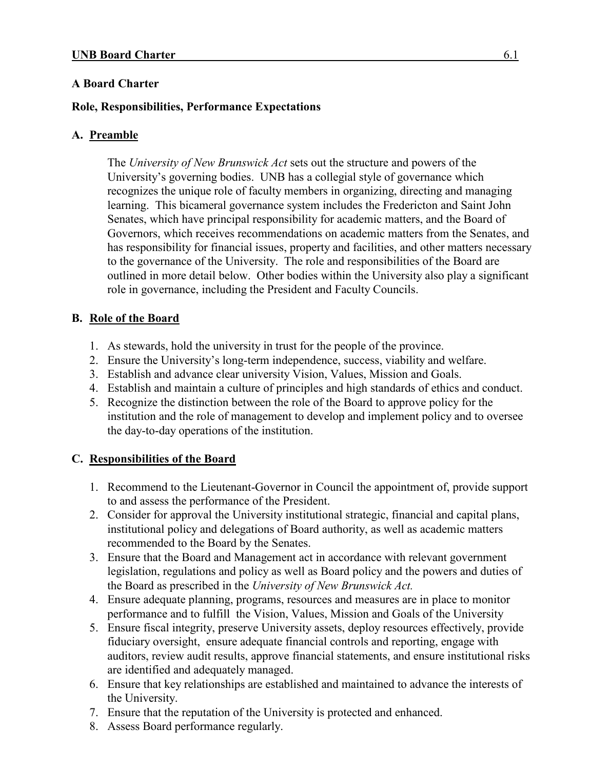# **A Board Charter**

### **Role, Responsibilities, Performance Expectations**

### **A. Preamble**

The *University of New Brunswick Act* sets out the structure and powers of the University's governing bodies. UNB has a collegial style of governance which recognizes the unique role of faculty members in organizing, directing and managing learning. This bicameral governance system includes the Fredericton and Saint John Senates, which have principal responsibility for academic matters, and the Board of Governors, which receives recommendations on academic matters from the Senates, and has responsibility for financial issues, property and facilities, and other matters necessary to the governance of the University. The role and responsibilities of the Board are outlined in more detail below. Other bodies within the University also play a significant role in governance, including the President and Faculty Councils.

### **B. Role of the Board**

- 1. As stewards, hold the university in trust for the people of the province.
- 2. Ensure the University's long-term independence, success, viability and welfare.
- 3. Establish and advance clear university Vision, Values, Mission and Goals.
- 4. Establish and maintain a culture of principles and high standards of ethics and conduct.
- 5. Recognize the distinction between the role of the Board to approve policy for the institution and the role of management to develop and implement policy and to oversee the day-to-day operations of the institution.

### **C. Responsibilities of the Board**

- 1. Recommend to the Lieutenant-Governor in Council the appointment of, provide support to and assess the performance of the President.
- 2. Consider for approval the University institutional strategic, financial and capital plans, institutional policy and delegations of Board authority, as well as academic matters recommended to the Board by the Senates.
- 3. Ensure that the Board and Management act in accordance with relevant government legislation, regulations and policy as well as Board policy and the powers and duties of the Board as prescribed in the *University of New Brunswick Act.*
- 4. Ensure adequate planning, programs, resources and measures are in place to monitor performance and to fulfill the Vision, Values, Mission and Goals of the University
- 5. Ensure fiscal integrity, preserve University assets, deploy resources effectively, provide fiduciary oversight, ensure adequate financial controls and reporting, engage with auditors, review audit results, approve financial statements, and ensure institutional risks are identified and adequately managed.
- 6. Ensure that key relationships are established and maintained to advance the interests of the University.
- 7. Ensure that the reputation of the University is protected and enhanced.
- 8. Assess Board performance regularly.